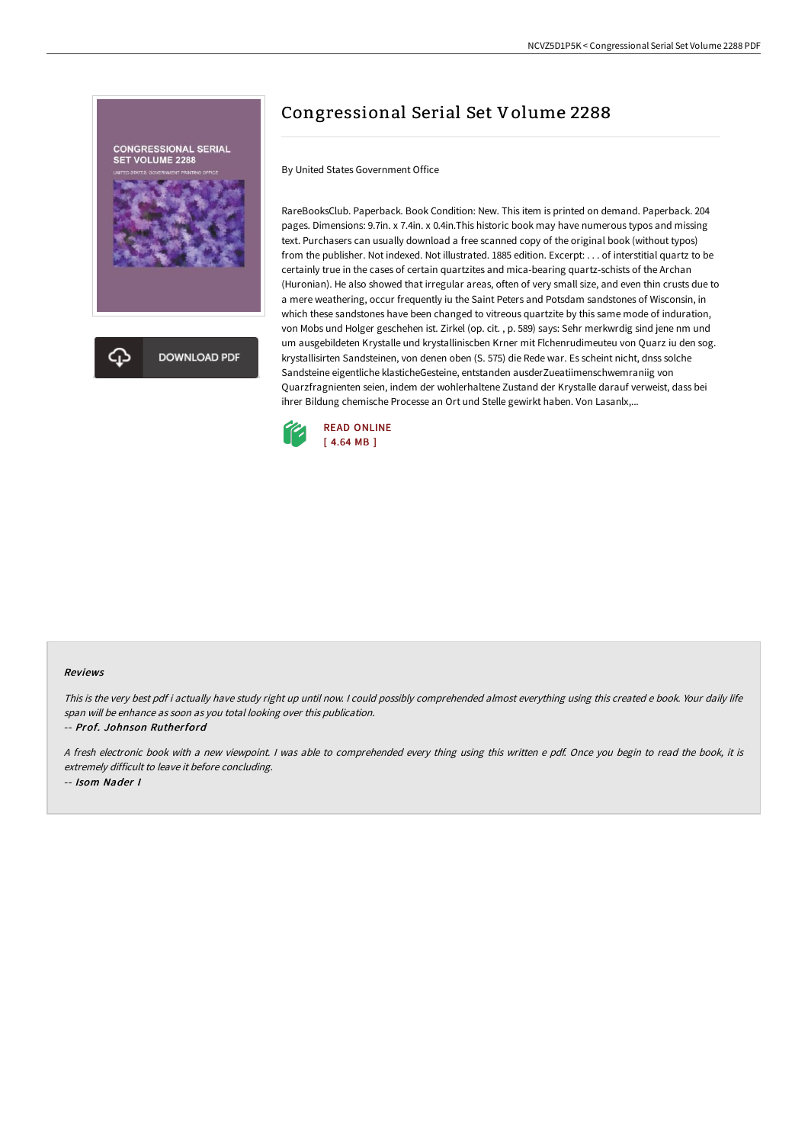

# Congressional Serial Set Volume 2288

By United States Government Office

RareBooksClub. Paperback. Book Condition: New. This item is printed on demand. Paperback. 204 pages. Dimensions: 9.7in. x 7.4in. x 0.4in.This historic book may have numerous typos and missing text. Purchasers can usually download a free scanned copy of the original book (without typos) from the publisher. Not indexed. Not illustrated. 1885 edition. Excerpt: . . . of interstitial quartz to be certainly true in the cases of certain quartzites and mica-bearing quartz-schists of the Archan (Huronian). He also showed that irregular areas, often of very small size, and even thin crusts due to a mere weathering, occur frequently iu the Saint Peters and Potsdam sandstones of Wisconsin, in which these sandstones have been changed to vitreous quartzite by this same mode of induration, von Mobs und Holger geschehen ist. Zirkel (op. cit. , p. 589) says: Sehr merkwrdig sind jene nm und um ausgebildeten Krystalle und krystalliniscben Krner mit Flchenrudimeuteu von Quarz iu den sog. krystallisirten Sandsteinen, von denen oben (S. 575) die Rede war. Es scheint nicht, dnss solche Sandsteine eigentliche klasticheGesteine, entstanden ausderZueatiimenschwemraniig von Quarzfragnienten seien, indem der wohlerhaltene Zustand der Krystalle darauf verweist, dass bei ihrer Bildung chemische Processe an Ort und Stelle gewirkt haben. Von Lasanlx,...



#### Reviews

This is the very best pdf i actually have study right up until now. <sup>I</sup> could possibly comprehended almost everything using this created <sup>e</sup> book. Your daily life span will be enhance as soon as you total looking over this publication.

-- Prof. Johnson Rutherford

<sup>A</sup> fresh electronic book with <sup>a</sup> new viewpoint. <sup>I</sup> was able to comprehended every thing using this written <sup>e</sup> pdf. Once you begin to read the book, it is extremely difficult to leave it before concluding. -- Isom Nader I